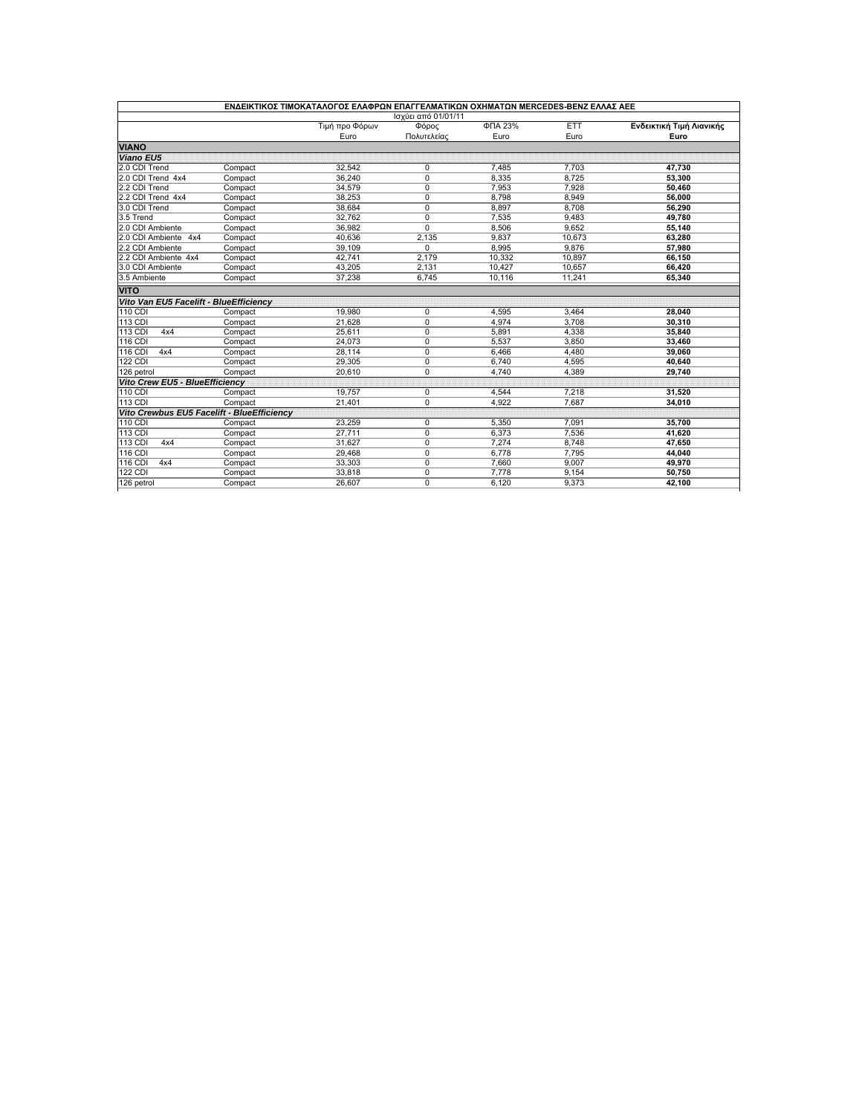|                                            |         | ΕΝΔΕΙΚΤΙΚΟΣ ΤΙΜΟΚΑΤΑΛΟΓΟΣ ΕΛΑΦΡΩΝ ΕΠΑΓΓΕΛΜΑΤΙΚΩΝ ΟΧΗΜΑΤΩΝ ΜΕRCEDES-BENZ ΕΛΛΑΣ ΑΕΕ |             |         |            |                          |  |  |  |  |
|--------------------------------------------|---------|-----------------------------------------------------------------------------------|-------------|---------|------------|--------------------------|--|--|--|--|
| Ισχύει από 01/01/11                        |         |                                                                                   |             |         |            |                          |  |  |  |  |
|                                            |         | Τιμή προ Φόρων                                                                    | Φόρος       | ФПА 23% | <b>ETT</b> | Ενδεικτική Τιμή Λιανικής |  |  |  |  |
|                                            |         | Euro                                                                              | Πολυτελείας | Euro    | Euro       | Euro                     |  |  |  |  |
| <b>VIANO</b>                               |         |                                                                                   |             |         |            |                          |  |  |  |  |
| <b>Viano EU5</b>                           |         |                                                                                   |             |         |            |                          |  |  |  |  |
| 2.0 CDI Trend                              | Compact | 32,542                                                                            | 0           | 7,485   | 7,703      | 47,730                   |  |  |  |  |
| 2.0 CDI Trend 4x4                          | Compact | 36,240                                                                            | 0           | 8,335   | 8,725      | 53,300                   |  |  |  |  |
| 2.2 CDI Trend                              | Compact | 34,579                                                                            | 0           | 7,953   | 7,928      | 50,460                   |  |  |  |  |
| 2.2 CDI Trend 4x4                          | Compact | 38,253                                                                            | 0           | 8,798   | 8,949      | 56,000                   |  |  |  |  |
| 3.0 CDI Trend                              | Compact | 38,684                                                                            | 0           | 8,897   | 8,708      | 56,290                   |  |  |  |  |
| 3.5 Trend                                  | Compact | 32,762                                                                            | 0           | 7,535   | 9,483      | 49,780                   |  |  |  |  |
| 2.0 CDI Ambiente                           | Compact | 36,982                                                                            | 0           | 8,506   | 9,652      | 55,140                   |  |  |  |  |
| 2.0 CDI Ambiente 4x4                       | Compact | 40,636                                                                            | 2.135       | 9.837   | 10.673     | 63.280                   |  |  |  |  |
| 2.2 CDI Ambiente                           | Compact | 39,109                                                                            | 0           | 8,995   | 9,876      | 57,980                   |  |  |  |  |
| 2.2 CDI Ambiente 4x4                       | Compact | 42,741                                                                            | 2,179       | 10,332  | 10,897     | 66,150                   |  |  |  |  |
| 3.0 CDI Ambiente                           | Compact | 43,205                                                                            | 2,131       | 10,427  | 10,657     | 66,420                   |  |  |  |  |
| 3.5 Ambiente                               | Compact | 37,238                                                                            | 6,745       | 10,116  | 11,241     | 65,340                   |  |  |  |  |
| <b>VITO</b>                                |         |                                                                                   |             |         |            |                          |  |  |  |  |
| Vito Van EU5 Facelift - BlueEfficiency     |         |                                                                                   |             |         |            |                          |  |  |  |  |
| $110$ CDI                                  | Compact | 19.980                                                                            | 0           | 4.595   | 3.464      | 28.040                   |  |  |  |  |
| 113 CDI                                    | Compact | 21,628                                                                            | 0           | 4.974   | 3,708      | 30,310                   |  |  |  |  |
| 113 CDI<br>4x4                             | Compact | 25,611                                                                            | 0           | 5,891   | 4,338      | 35,840                   |  |  |  |  |
| 116 CDI                                    | Compact | 24,073                                                                            | 0           | 5,537   | 3,850      | 33,460                   |  |  |  |  |
| <b>116 CDI</b><br>4x4                      | Compact | 28,114                                                                            | 0           | 6,466   | 4,480      | 39,060                   |  |  |  |  |
| <b>122 CDI</b>                             | Compact | 29,305                                                                            | 0           | 6,740   | 4,595      | 40,640                   |  |  |  |  |
| 126 petrol                                 | Compact | 20,610                                                                            | 0           | 4.740   | 4.389      | 29.740                   |  |  |  |  |
| Vito Crew EU5 - BlueEfficiency             |         |                                                                                   |             |         |            |                          |  |  |  |  |
| <b>110 CDI</b>                             | Compact | 19.757                                                                            | 0           | 4.544   | 7.218      | 31.520                   |  |  |  |  |
| $113$ CDI                                  | Compact | 21,401                                                                            | $\Omega$    | 4.922   | 7.687      | 34.010                   |  |  |  |  |
| Vito Crewbus EU5 Facelift - BlueEfficiency |         |                                                                                   |             |         |            |                          |  |  |  |  |
| 110 CDI                                    | Compact | 23.259                                                                            | 0           | 5,350   | 7.091      | 35.700                   |  |  |  |  |
| <b>113 CDI</b>                             | Compact | 27,711                                                                            | 0           | 6,373   | 7,536      | 41,620                   |  |  |  |  |
| 113 CDI<br>4x4                             | Compact | 31,627                                                                            | 0           | 7.274   | 8,748      | 47,650                   |  |  |  |  |
| 116 CDI                                    | Compact | 29,468                                                                            | 0           | 6,778   | 7,795      | 44,040                   |  |  |  |  |
| 116 CDI<br>4x4                             | Compact | 33,303                                                                            | 0           | 7,660   | 9,007      | 49,970                   |  |  |  |  |
| <b>122 CDI</b>                             | Compact | 33,818                                                                            | 0           | 7,778   | 9,154      | 50,750                   |  |  |  |  |
| 126 petrol                                 |         | 26,607                                                                            | $\Omega$    | 6,120   | 9.373      |                          |  |  |  |  |
|                                            | Compact |                                                                                   |             |         |            | 42,100                   |  |  |  |  |